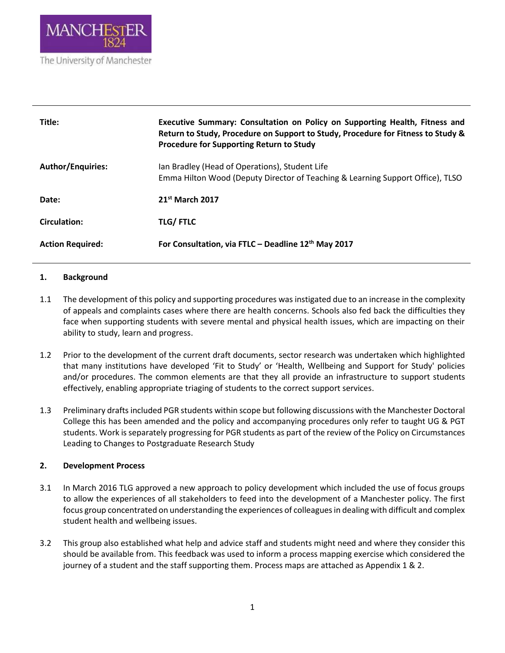

| Title:                   | Executive Summary: Consultation on Policy on Supporting Health, Fitness and<br>Return to Study, Procedure on Support to Study, Procedure for Fitness to Study &<br>Procedure for Supporting Return to Study |
|--------------------------|-------------------------------------------------------------------------------------------------------------------------------------------------------------------------------------------------------------|
| <b>Author/Enquiries:</b> | Ian Bradley (Head of Operations), Student Life<br>Emma Hilton Wood (Deputy Director of Teaching & Learning Support Office), TLSO                                                                            |
| Date:                    | 21 <sup>st</sup> March 2017                                                                                                                                                                                 |
| <b>Circulation:</b>      | <b>TLG/FTLC</b>                                                                                                                                                                                             |
| <b>Action Required:</b>  | For Consultation, via FTLC - Deadline 12th May 2017                                                                                                                                                         |

## **1. Background**

- 1.1 The development of this policy and supporting procedures was instigated due to an increase in the complexity of appeals and complaints cases where there are health concerns. Schools also fed back the difficulties they face when supporting students with severe mental and physical health issues, which are impacting on their ability to study, learn and progress.
- 1.2 Prior to the development of the current draft documents, sector research was undertaken which highlighted that many institutions have developed 'Fit to Study' or 'Health, Wellbeing and Support for Study' policies and/or procedures. The common elements are that they all provide an infrastructure to support students effectively, enabling appropriate triaging of students to the correct support services.
- 1.3 Preliminary drafts included PGR students within scope but following discussions with the Manchester Doctoral College this has been amended and the policy and accompanying procedures only refer to taught UG & PGT students. Work is separately progressing for PGR students as part of the review of the Policy on Circumstances Leading to Changes to Postgraduate Research Study

## **2. Development Process**

- 3.1 In March 2016 TLG approved a new approach to policy development which included the use of focus groups to allow the experiences of all stakeholders to feed into the development of a Manchester policy. The first focus group concentrated on understanding the experiences of colleagues in dealing with difficult and complex student health and wellbeing issues.
- 3.2 This group also established what help and advice staff and students might need and where they consider this should be available from. This feedback was used to inform a process mapping exercise which considered the journey of a student and the staff supporting them. Process maps are attached as Appendix 1 & 2.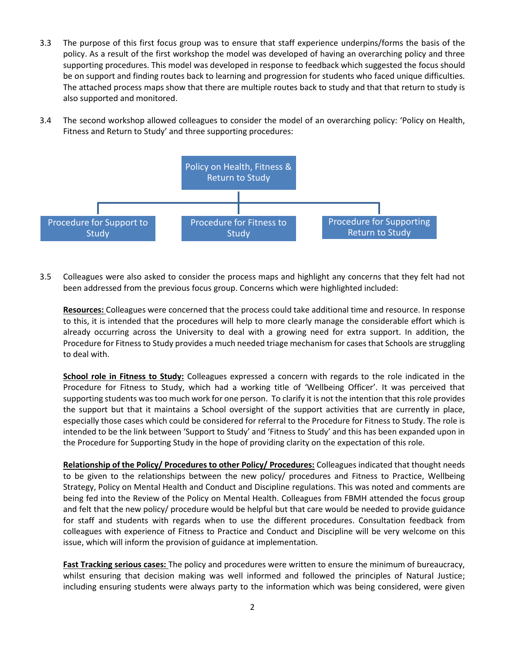- 3.3 The purpose of this first focus group was to ensure that staff experience underpins/forms the basis of the policy. As a result of the first workshop the model was developed of having an overarching policy and three supporting procedures. This model was developed in response to feedback which suggested the focus should be on support and finding routes back to learning and progression for students who faced unique difficulties. The attached process maps show that there are multiple routes back to study and that that return to study is also supported and monitored.
- 3.4 The second workshop allowed colleagues to consider the model of an overarching policy: 'Policy on Health, Fitness and Return to Study' and three supporting procedures:



3.5 Colleagues were also asked to consider the process maps and highlight any concerns that they felt had not been addressed from the previous focus group. Concerns which were highlighted included:

**Resources:** Colleagues were concerned that the process could take additional time and resource. In response to this, it is intended that the procedures will help to more clearly manage the considerable effort which is already occurring across the University to deal with a growing need for extra support. In addition, the Procedure for Fitness to Study provides a much needed triage mechanism for cases that Schools are struggling to deal with.

**School role in Fitness to Study:** Colleagues expressed a concern with regards to the role indicated in the Procedure for Fitness to Study, which had a working title of 'Wellbeing Officer'. It was perceived that supporting students was too much work for one person. To clarify it is not the intention that this role provides the support but that it maintains a School oversight of the support activities that are currently in place, especially those cases which could be considered for referral to the Procedure for Fitness to Study. The role is intended to be the link between 'Support to Study' and 'Fitness to Study' and this has been expanded upon in the Procedure for Supporting Study in the hope of providing clarity on the expectation of this role.

**Relationship of the Policy/ Procedures to other Policy/ Procedures:** Colleagues indicated that thought needs to be given to the relationships between the new policy/ procedures and Fitness to Practice, Wellbeing Strategy, Policy on Mental Health and Conduct and Discipline regulations. This was noted and comments are being fed into the Review of the Policy on Mental Health. Colleagues from FBMH attended the focus group and felt that the new policy/ procedure would be helpful but that care would be needed to provide guidance for staff and students with regards when to use the different procedures. Consultation feedback from colleagues with experience of Fitness to Practice and Conduct and Discipline will be very welcome on this issue, which will inform the provision of guidance at implementation.

**Fast Tracking serious cases:** The policy and procedures were written to ensure the minimum of bureaucracy, whilst ensuring that decision making was well informed and followed the principles of Natural Justice; including ensuring students were always party to the information which was being considered, were given